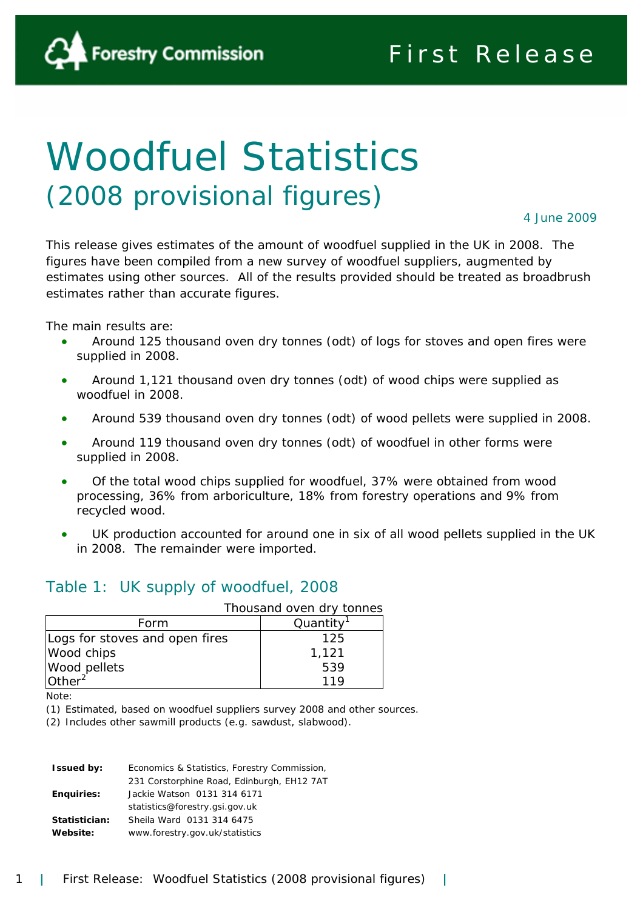

# Woodfuel Statistics (2008 provisional figures)

4 June 2009

This release gives estimates of the amount of woodfuel supplied in the UK in 2008. The figures have been compiled from a new survey of woodfuel suppliers, augmented by estimates using other sources. All of the results provided should be treated as broadbrush estimates rather than accurate figures.

The main results are:

- Around 125 thousand oven dry tonnes (odt) of logs for stoves and open fires were supplied in 2008.
- Around 1,121 thousand oven dry tonnes (odt) of wood chips were supplied as woodfuel in 2008.
- Around 539 thousand oven dry tonnes (odt) of wood pellets were supplied in 2008.
- Around 119 thousand oven dry tonnes (odt) of woodfuel in other forms were supplied in 2008.
- Of the total wood chips supplied for woodfuel, 37% were obtained from wood processing, 36% from arboriculture, 18% from forestry operations and 9% from recycled wood.
- UK production accounted for around one in six of all wood pellets supplied in the UK in 2008. The remainder were imported.

#### Table 1: UK supply of woodfuel, 2008

|                                | Thousand oven dry tonnes |
|--------------------------------|--------------------------|
| Form                           | Quantity <sup>1</sup>    |
| Logs for stoves and open fires | 125                      |
| Wood chips                     | 1,121                    |
| Wood pellets                   | 539                      |
| Other $2^2$                    | 119                      |

Note:

(1) Estimated, based on woodfuel suppliers survey 2008 and other sources.

(2) Includes other sawmill products (e.g. sawdust, slabwood).

| <b>Issued by:</b> | Economics & Statistics, Forestry Commission, |
|-------------------|----------------------------------------------|
|                   | 231 Corstorphine Road, Edinburgh, EH12 7AT   |
| <b>Enquiries:</b> | Jackie Watson 0131 314 6171                  |
|                   | statistics@forestry.gsi.gov.uk               |
| Statistician:     | Sheila Ward 0131 314 6475                    |
| Website:          | www.forestry.gov.uk/statistics               |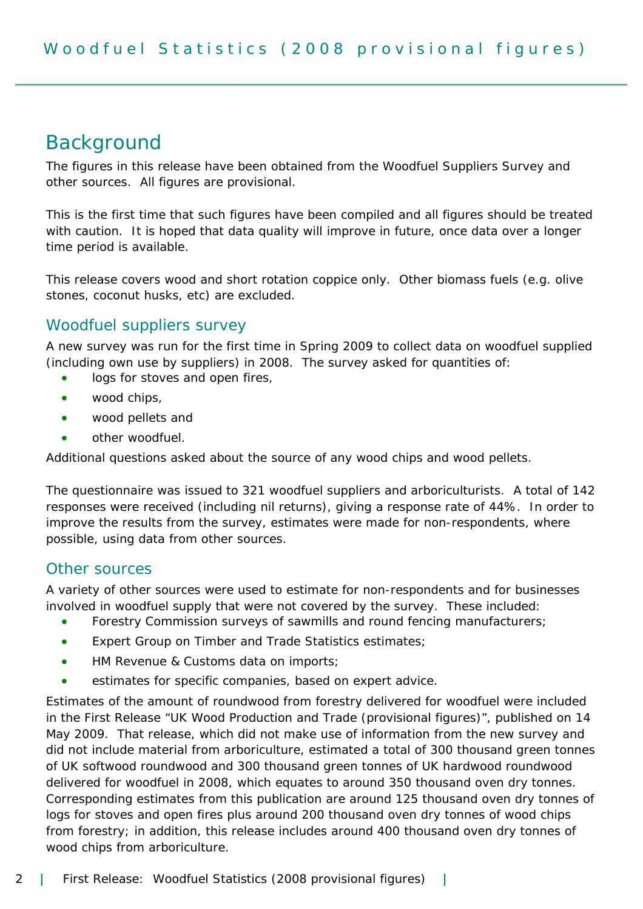# **Background**

The figures in this release have been obtained from the Woodfuel Suppliers Survey and other sources. All figures are provisional.

This is the first time that such figures have been compiled and all figures should be treated with caution. It is hoped that data quality will improve in future, once data over a longer time period is available.

This release covers wood and short rotation coppice only. Other biomass fuels (e.g. olive stones, coconut husks, etc) are excluded.

## Woodfuel suppliers survey

A new survey was run for the first time in Spring 2009 to collect data on woodfuel supplied (including own use by suppliers) in 2008. The survey asked for quantities of:

- logs for stoves and open fires,
- wood chips,
- wood pellets and
- other woodfuel.

Additional questions asked about the source of any wood chips and wood pellets.

The questionnaire was issued to 321 woodfuel suppliers and arboriculturists. A total of 142 responses were received (including nil returns), giving a response rate of 44%. In order to improve the results from the survey, estimates were made for non-respondents, where possible, using data from other sources.

#### Other sources

A variety of other sources were used to estimate for non-respondents and for businesses involved in woodfuel supply that were not covered by the survey. These included:

- Forestry Commission surveys of sawmills and round fencing manufacturers;
- Expert Group on Timber and Trade Statistics estimates;
- HM Revenue & Customs data on imports;
- estimates for specific companies, based on expert advice.

Estimates of the amount of roundwood from forestry delivered for woodfuel were included in the First Release "UK Wood Production and Trade (provisional figures)", published on 14 May 2009. That release, which did not make use of information from the new survey and did not include material from arboriculture, estimated a total of 300 thousand green tonnes of UK softwood roundwood and 300 thousand green tonnes of UK hardwood roundwood delivered for woodfuel in 2008, which equates to around 350 thousand oven dry tonnes. Corresponding estimates from this publication are around 125 thousand oven dry tonnes of logs for stoves and open fires plus around 200 thousand oven dry tonnes of wood chips from forestry; in addition, this release includes around 400 thousand oven dry tonnes of wood chips from arboriculture.